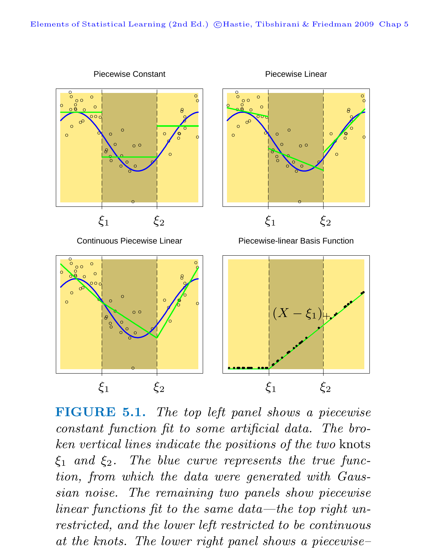

**FIGURE 5.1.** The top left panel shows a piecewise constant function fit to some artificial data. The broken vertical lines indicate the positions of the two knots  $\xi_1$  and  $\xi_2$ . The blue curve represents the true function, from which the data were generated with Gaussian noise. The remaining two panels show piecewise linear functions fit to the same data—the top right unrestricted, and the lower left restricted to be continuous at the knots. The lower right panel shows a piecewise–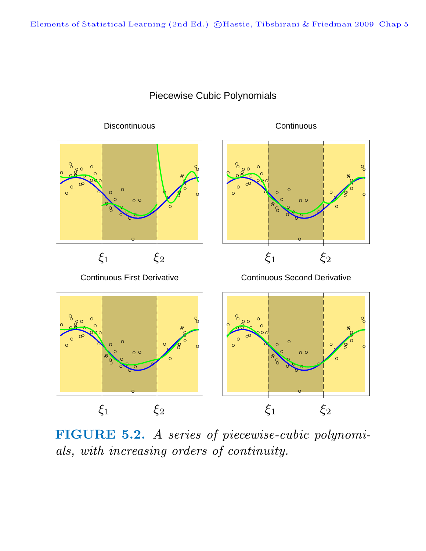

## Piecewise Cubic Polynomials

**FIGURE 5.2.** A series of piecewise-cubic polynomials, with increasing orders of continuity.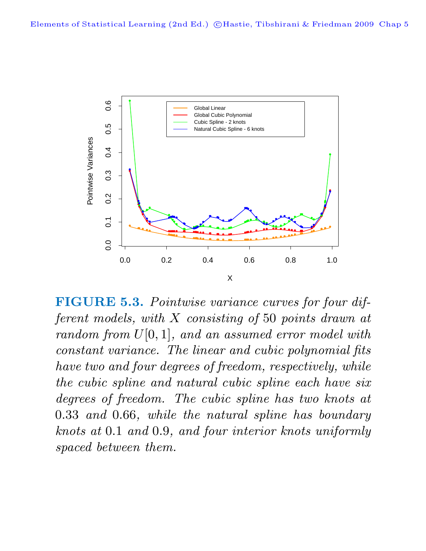

**FIGURE 5.3.** Pointwise variance curves for four different models, with X consisting of 50 points drawn at  $random from U[0, 1], and an assumed error model with$ constant variance. The linear and cubic polynomial fits have two and four degrees of freedom, respectively, while the cubic spline and natural cubic spline each have six degrees of freedom. The cubic spline has two knots at 0.33 and 0.66, while the natural spline has boundary knots at 0.1 and 0.9, and four interior knots uniformly spaced between them.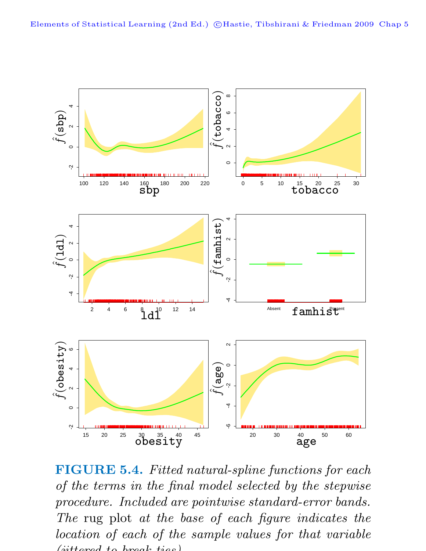

**FIGURE 5.4.** Fitted natural-spline functions for each of the terms in the final model selected by the stepwise procedure. Included are pointwise standard-error bands. The rug plot at the base of each figure indicates the location of each of the sample values for that variable  $(iittoned to break to$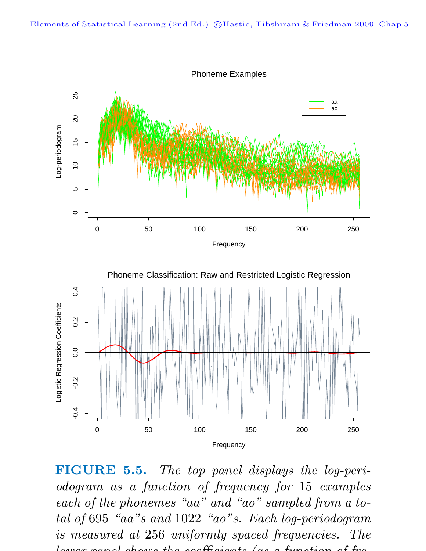

**FIGURE 5.5.** The top panel displays the log-periodogram as a function of frequency for 15 examples each of the phonemes "aa" and "ao" sampled from a total of 695 "aa"s and 1022 "ao"s. Each log-periodogram is measured at 256 uniformly spaced frequencies. The lower panel shows the coefficients (as a function of fre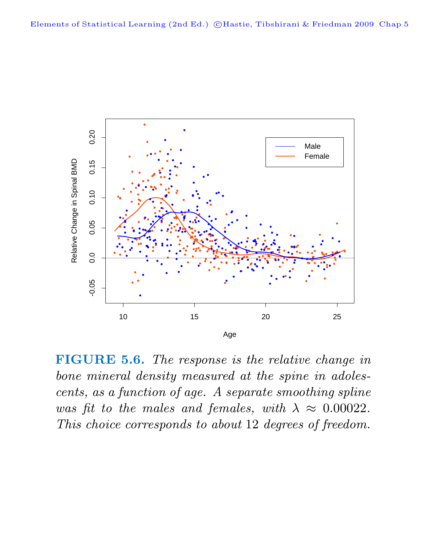

**FIGURE 5.6.** The response is the relative change in bone mineral density measured at the spine in adolescents, as a function of age. A separate smoothing spline was fit to the males and females, with  $\lambda \approx 0.00022$ . This choice corresponds to about 12 degrees of freedom.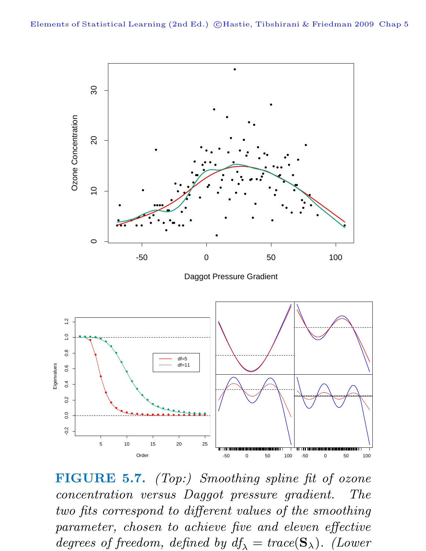

**FIGURE 5.7.** (Top:) Smoothing spline fit of ozone concentration versus Daggot pressure gradient. The two fits correspond to different values of the smoothing parameter, chosen to achieve five and eleven effective degrees of freedom, defined by  $df_{\lambda} = trace(S_{\lambda})$ . (Lower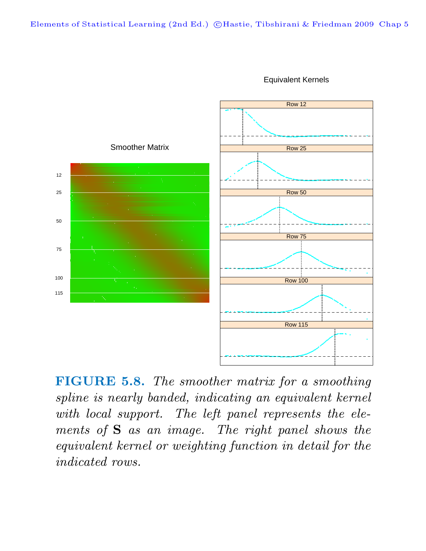

Equivalent Kernels

**FIGURE 5.8.** The smoother matrix for a smoothing spline is nearly banded, indicating an equivalent kernel with local support. The left panel represents the elements of **S** as an image. The right panel shows the equivalent kernel or weighting function in detail for the indicated rows.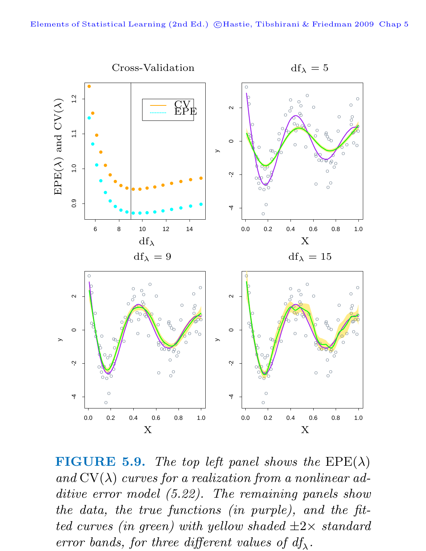

**FIGURE 5.9.** The top left panel shows the  $EPE(\lambda)$ and  $CV(\lambda)$  curves for a realization from a nonlinear additive error model  $(5.22)$ . The remaining panels show the data, the true functions (in purple), and the fitted curves (in green) with yellow shaded  $\pm 2\times$  standard error bands, for three different values of  $df_{\lambda}$ .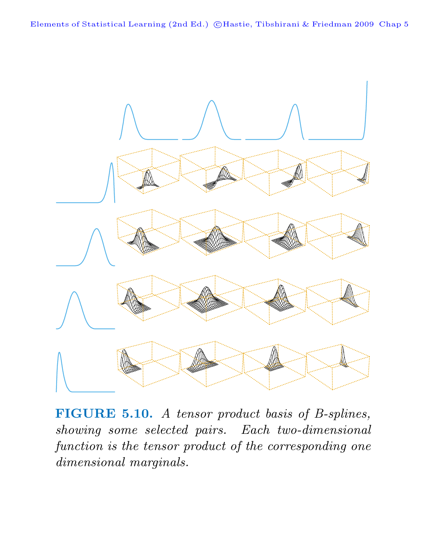Elements of Statistical Learning (2nd Ed.) ©Hastie, Tibshirani & Friedman 2009 Chap 5



**FIGURE 5.10.** A tensor product basis of B-splines, showing some selected pairs. Each two-dimensional function is the tensor product of the corresponding one dimensional marginals.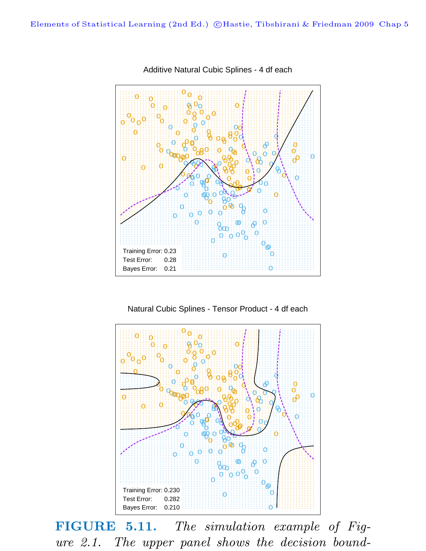

Additive Natural Cubic Splines - 4 df each

Natural Cubic Splines - Tensor Product - 4 df each



**FIGURE 5.11.** The simulation example of Figure 2.1. The upper panel shows the decision bound-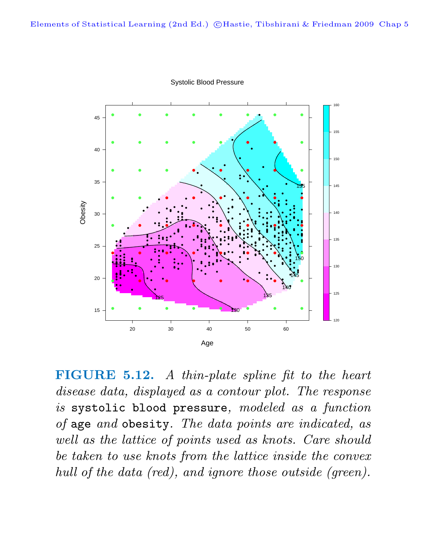

Systolic Blood Pressure

**FIGURE 5.12.** A thin-plate spline fit to the heart disease data, displayed as a contour plot. The response is systolic blood pressure, modeled as a function of age and obesity. The data points are indicated, as well as the lattice of points used as knots. Care should be taken to use knots from the lattice inside the convex hull of the data (red), and ignore those outside (green).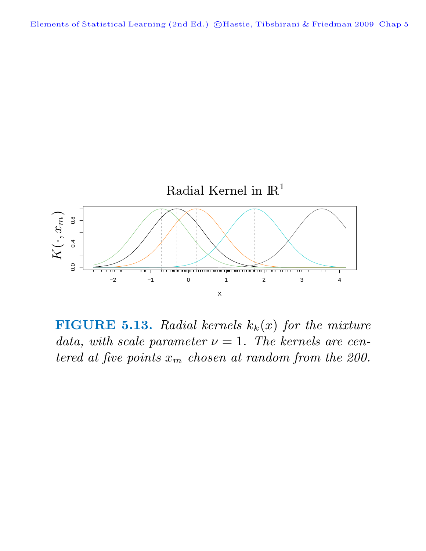

**FIGURE 5.13.** Radial kernels  $k_k(x)$  for the mixture data, with scale parameter  $\nu = 1$ . The kernels are centered at five points  $x_m$  chosen at random from the 200.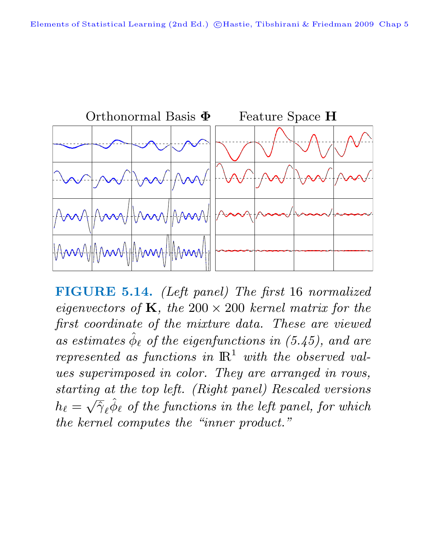

FIGURE 5.14. (Left panel) The first 16 normalized eigenvectors of K, the  $200 \times 200$  kernel matrix for the first coordinate of the mixture data. These are viewed as estimates  $\hat{\phi}_{\ell}$  of the eigenfunctions in (5.45), and are represented as functions in  $\mathbb{R}^1$  with the observed values superimposed in color. They are arranged in rows, starting at the top left. (Right panel) Rescaled versions  $h_{\ell} = \sqrt{\hat{\gamma}}_{\ell} \hat{\phi}_{\ell}$  of the functions in the left panel, for which the kernel computes the "inner product."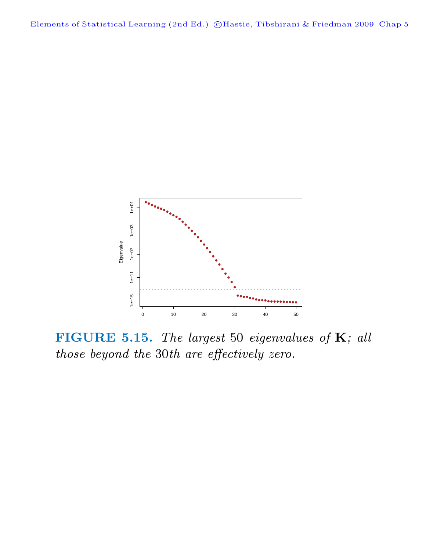

**FIGURE 5.15.** The largest 50 eigenvalues of **K**; all those beyond the 30th are effectively zero.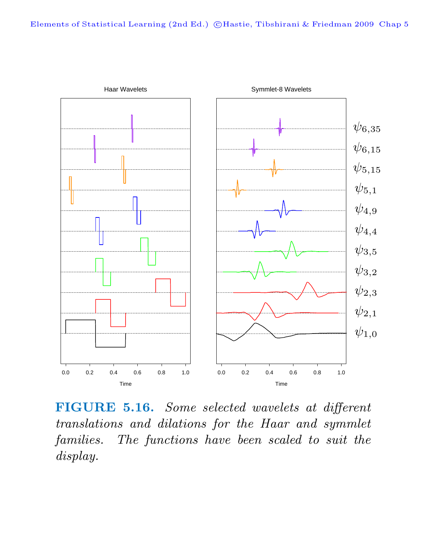

**FIGURE 5.16.** Some selected wavelets at different translations and dilations for the Haar and symmlet families. The functions have been scaled to suit the display.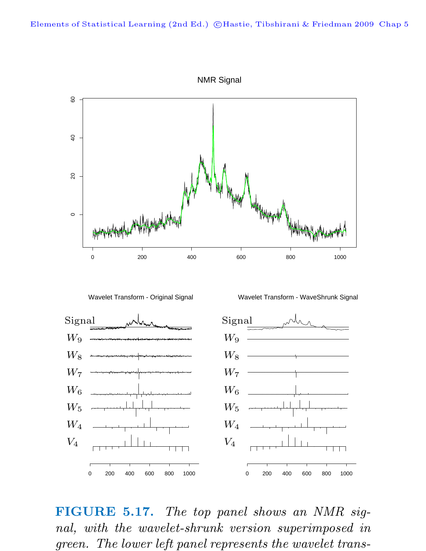



Wavelet Transform - WaveShrunk Signal



**FIGURE 5.17.** The top panel shows an NMR signal, with the wavelet-shrunk version superimposed in green. The lower left panel represents the wavelet trans-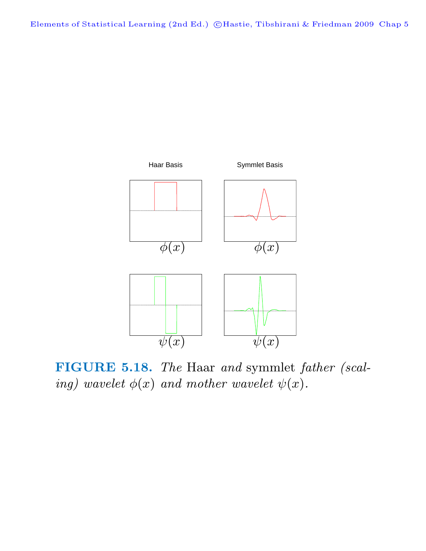

**FIGURE 5.18.** The Haar and symmlet father (scaling) wavelet  $\phi(x)$  and mother wavelet  $\psi(x)$ .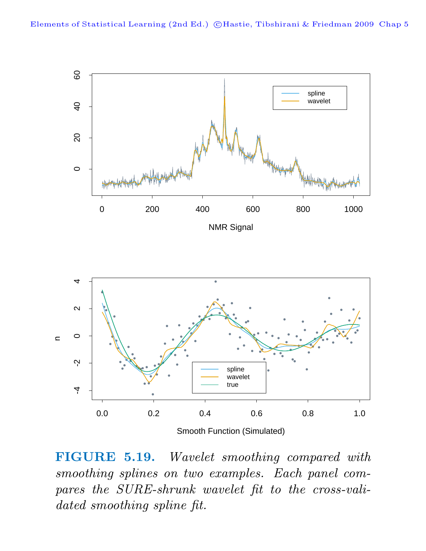

**FIGURE 5.19.** Wavelet smoothing compared with smoothing splines on two examples. Each panel compares the SURE-shrunk wavelet fit to the cross-validated smoothing spline fit.